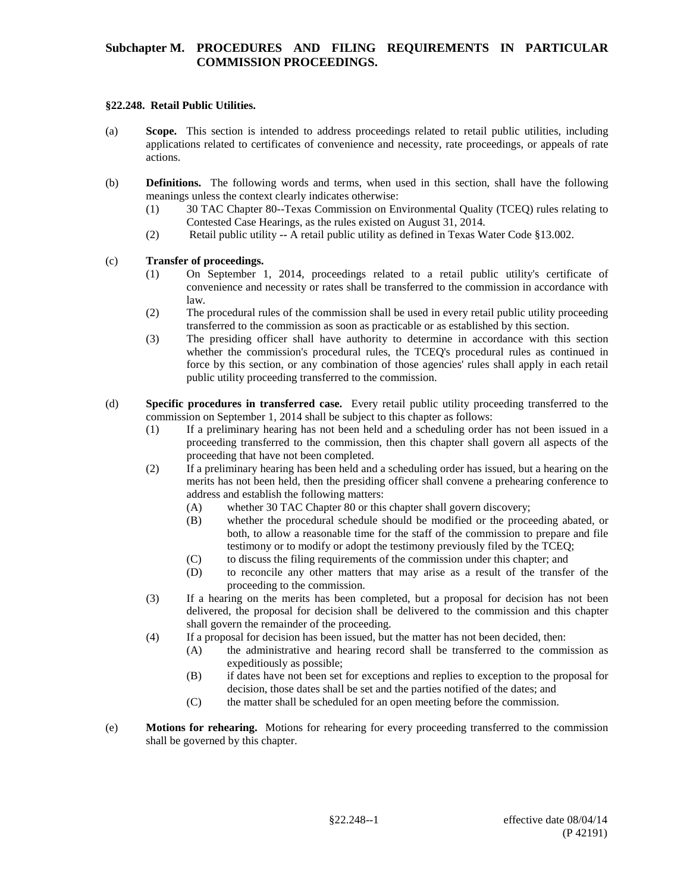## **Subchapter M. PROCEDURES AND FILING REQUIREMENTS IN PARTICULAR COMMISSION PROCEEDINGS.**

## **§22.248. Retail Public Utilities.**

- (a) **Scope.** This section is intended to address proceedings related to retail public utilities, including applications related to certificates of convenience and necessity, rate proceedings, or appeals of rate actions.
- (b) **Definitions.** The following words and terms, when used in this section, shall have the following meanings unless the context clearly indicates otherwise:
	- (1) 30 TAC Chapter 80--Texas Commission on Environmental Quality (TCEQ) rules relating to Contested Case Hearings, as the rules existed on August 31, 2014.
	- (2) Retail public utility **--** A retail public utility as defined in Texas Water Code §13.002.

## (c) **Transfer of proceedings.**

- (1) On September 1, 2014, proceedings related to a retail public utility's certificate of convenience and necessity or rates shall be transferred to the commission in accordance with law.
- (2) The procedural rules of the commission shall be used in every retail public utility proceeding transferred to the commission as soon as practicable or as established by this section.
- (3) The presiding officer shall have authority to determine in accordance with this section whether the commission's procedural rules, the TCEQ's procedural rules as continued in force by this section, or any combination of those agencies' rules shall apply in each retail public utility proceeding transferred to the commission.
- (d) **Specific procedures in transferred case.** Every retail public utility proceeding transferred to the commission on September 1, 2014 shall be subject to this chapter as follows:
	- (1) If a preliminary hearing has not been held and a scheduling order has not been issued in a proceeding transferred to the commission, then this chapter shall govern all aspects of the proceeding that have not been completed.
	- (2) If a preliminary hearing has been held and a scheduling order has issued, but a hearing on the merits has not been held, then the presiding officer shall convene a prehearing conference to address and establish the following matters:
		- (A) whether 30 TAC Chapter 80 or this chapter shall govern discovery;
		- (B) whether the procedural schedule should be modified or the proceeding abated, or both, to allow a reasonable time for the staff of the commission to prepare and file testimony or to modify or adopt the testimony previously filed by the TCEQ;
		- (C) to discuss the filing requirements of the commission under this chapter; and
		- (D) to reconcile any other matters that may arise as a result of the transfer of the proceeding to the commission.
	- (3) If a hearing on the merits has been completed, but a proposal for decision has not been delivered, the proposal for decision shall be delivered to the commission and this chapter shall govern the remainder of the proceeding.
	- (4) If a proposal for decision has been issued, but the matter has not been decided, then:
		- (A) the administrative and hearing record shall be transferred to the commission as expeditiously as possible;
		- (B) if dates have not been set for exceptions and replies to exception to the proposal for decision, those dates shall be set and the parties notified of the dates; and
		- (C) the matter shall be scheduled for an open meeting before the commission.
- (e) **Motions for rehearing.** Motions for rehearing for every proceeding transferred to the commission shall be governed by this chapter.